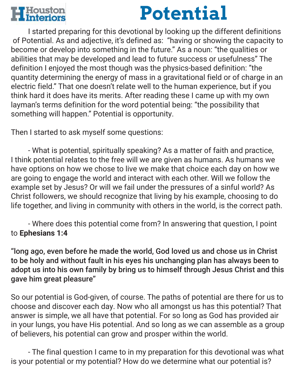

## **Potential**

 I started preparing for this devotional by looking up the different definitions of Potential. As and adjective, it's defined as: "having or showing the capacity to become or develop into something in the future." As a noun: "the qualities or abilities that may be developed and lead to future success or usefulness" The definition I enjoyed the most though was the physics-based definition: "the quantity determining the energy of mass in a gravitational field or of charge in an electric field." That one doesn't relate well to the human experience, but if you think hard it does have its merits. After reading these I came up with my own layman's terms definition for the word potential being: "the possibility that something will happen." Potential is opportunity.

Then I started to ask myself some questions:

 - What is potential, spiritually speaking? As a matter of faith and practice, I think potential relates to the free will we are given as humans. As humans we have options on how we chose to live we make that choice each day on how we are going to engage the world and interact with each other. Will we follow the example set by Jesus? Or will we fail under the pressures of a sinful world? As Christ followers, we should recognize that living by his example, choosing to do life together, and living in community with others in the world, is the correct path.

 - Where does this potential come from? In answering that question, I point to **Ephesians 1:4**

"long ago, even before he made the world, God loved us and chose us in Christ to be holy and without fault in his eyes his unchanging plan has always been to adopt us into his own family by bring us to himself through Jesus Christ and this gave him great pleasure"

So our potential is God-given, of course. The paths of potential are there for us to choose and discover each day. Now who all amongst us has this potential? That answer is simple, we all have that potential. For so long as God has provided air in your lungs, you have His potential. And so long as we can assemble as a group of believers, his potential can grow and prosper within the world.

 - The final question I came to in my preparation for this devotional was what is your potential or my potential? How do we determine what our potential is?